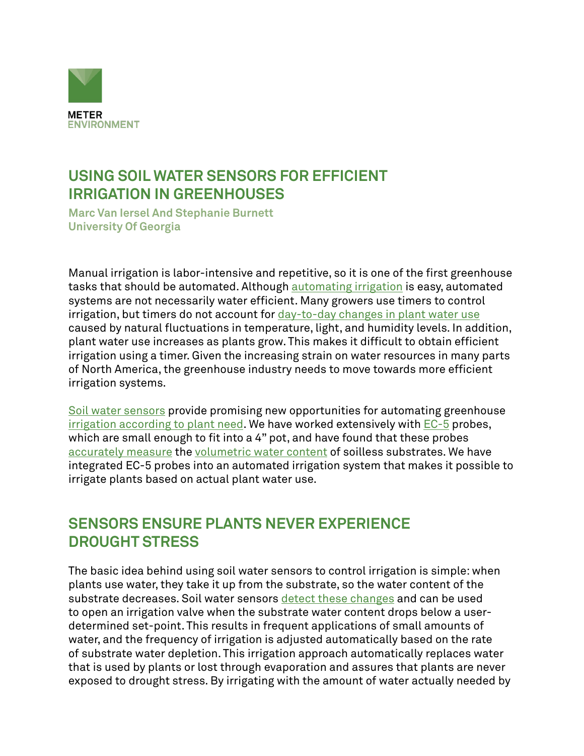

## **USING SOIL WATER SENSORS FOR EFFICIENT IRRIGATION IN GREENHOUSES**

**Marc Van Iersel And Stephanie Burnett University Of Georgia**

Manual irrigation is labor-intensive and repetitive, so it is one of the first greenhouse tasks that should be automated. Although **[automating irrigation](https://www.metergroup.com/environment/events/soil-moisture-sensor-networks-greenhouse-applications-lead-increased-yields-improved-quality/)** is easy, automated systems are not necessarily water efficient. Many growers use timers to control irrigation, but timers do not account for [day-to-day changes in plant water use](https://www.metergroup.com/environment/articles/when-to-water/) caused by natural fluctuations in temperature, light, and humidity levels. In addition, plant water use increases as plants grow. This makes it difficult to obtain efficient irrigation using a timer. Given the increasing strain on water resources in many parts of North America, the greenhouse industry needs to move towards more efficient irrigation systems.

[Soil water sensors](https://www.metergroup.com/meter_knowledgebase/which-soil-sensor-is-perfect-for-you/) provide promising new opportunities for automating greenhouse [irrigation according to plant need](https://www.metergroup.com/environment/events/why-using-soil-moisture-sensors-for-irrigation-control-will-increase-quality-and-profits/). We have worked extensively with [EC-5](https://www.metergroup.com/environment/products/ec-5-soil-moisture-sensor/) probes, which are small enough to fit into a 4" pot, and have found that these probes [accurately measure](https://www.metergroup.com/environment/articles/calibration-evaluation-ec-5-soil-moisture-sensor/) the [volumetric water content](https://www.metergroup.com/environment/events/soil-moisture-201-measurements-methods-and-applications/) of soilless substrates. We have integrated EC-5 probes into an automated irrigation system that makes it possible to irrigate plants based on actual plant water use.

# **SENSORS ENSURE PLANTS NEVER EXPERIENCE DROUGHT STRESS**

The basic idea behind using soil water sensors to control irrigation is simple: when plants use water, they take it up from the substrate, so the water content of the substrate decreases. Soil water sensors [detect these changes](https://www.metergroup.com/environment/articles/plant-available-water-determine-field-capacity-permanent-wilting-point/) and can be used to open an irrigation valve when the substrate water content drops below a userdetermined set-point. This results in frequent applications of small amounts of water, and the frequency of irrigation is adjusted automatically based on the rate of substrate water depletion. This irrigation approach automatically replaces water that is used by plants or lost through evaporation and assures that plants are never exposed to drought stress. By irrigating with the amount of water actually needed by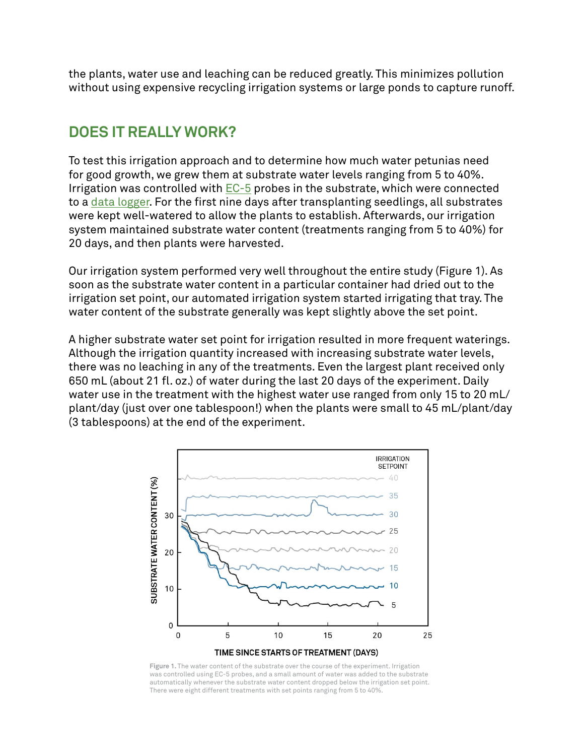the plants, water use and leaching can be reduced greatly. This minimizes pollution without using expensive recycling irrigation systems or large ponds to capture runoff.

### **DOES IT REALLY WORK?**

To test this irrigation approach and to determine how much water petunias need for good growth, we grew them at substrate water levels ranging from 5 to 40%. Irrigation was controlled with  $EC-5$  probes in the substrate, which were connected to a [data logger](https://www.metergroup.com/environment/products/ech2o-em50/). For the first nine days after transplanting seedlings, all substrates were kept well-watered to allow the plants to establish. Afterwards, our irrigation system maintained substrate water content (treatments ranging from 5 to 40%) for 20 days, and then plants were harvested.

Our irrigation system performed very well throughout the entire study (Figure 1). As soon as the substrate water content in a particular container had dried out to the irrigation set point, our automated irrigation system started irrigating that tray. The water content of the substrate generally was kept slightly above the set point.

A higher substrate water set point for irrigation resulted in more frequent waterings. Although the irrigation quantity increased with increasing substrate water levels, there was no leaching in any of the treatments. Even the largest plant received only 650 mL (about 21 fl. oz.) of water during the last 20 days of the experiment. Daily water use in the treatment with the highest water use ranged from only 15 to 20 mL/ plant/day (just over one tablespoon!) when the plants were small to 45 mL/plant/day (3 tablespoons) at the end of the experiment.



**Figure 1.** The water content of the substrate over the course of the experiment. Irrigation was controlled using EC-5 probes, and a small amount of water was added to the substrate automatically whenever the substrate water content dropped below the irrigation set point. There were eight different treatments with set points ranging from 5 to 40%.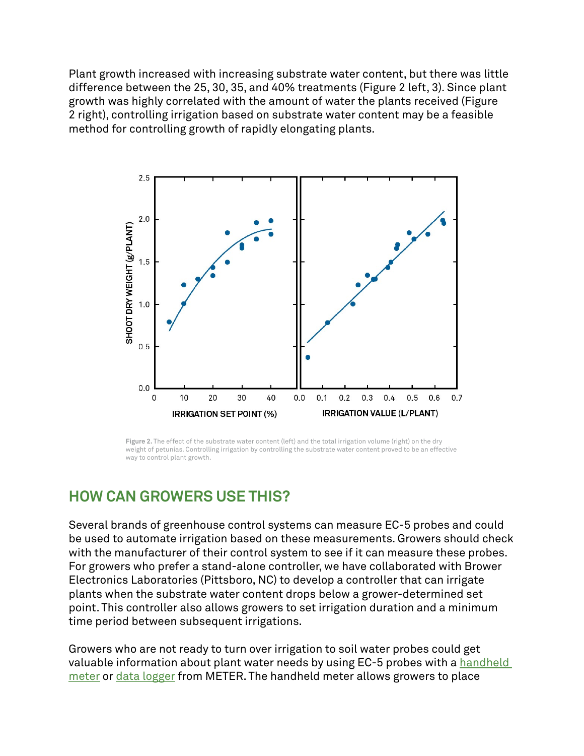Plant growth increased with increasing substrate water content, but there was little difference between the 25, 30, 35, and 40% treatments (Figure 2 left, 3). Since plant growth was highly correlated with the amount of water the plants received (Figure 2 right), controlling irrigation based on substrate water content may be a feasible method for controlling growth of rapidly elongating plants.



Figure 2. The effect of the substrate water content (left) and the total irrigation volume (right) on the dry weight of petunias. Controlling irrigation by controlling the substrate water content proved to be an effective way to control plant growth.

#### **HOW CAN GROWERS USE THIS?**

Several brands of greenhouse control systems can measure EC-5 probes and could be used to automate irrigation based on these measurements. Growers should check with the manufacturer of their control system to see if it can measure these probes. For growers who prefer a stand-alone controller, we have collaborated with Brower Electronics Laboratories (Pittsboro, NC) to develop a controller that can irrigate plants when the substrate water content drops below a grower-determined set point. This controller also allows growers to set irrigation duration and a minimum time period between subsequent irrigations.

Growers who are not ready to turn over irrigation to soil water probes could get valuable information about plant water needs by using EC-5 probes with a handheld [meter](https://www.metergroup.com/environment/articles/buy-browse-meter-legacy-handheld-devices/) or [data logger](https://www.metergroup.com/environment/products/zl6-data-logger/) from METER. The handheld meter allows growers to place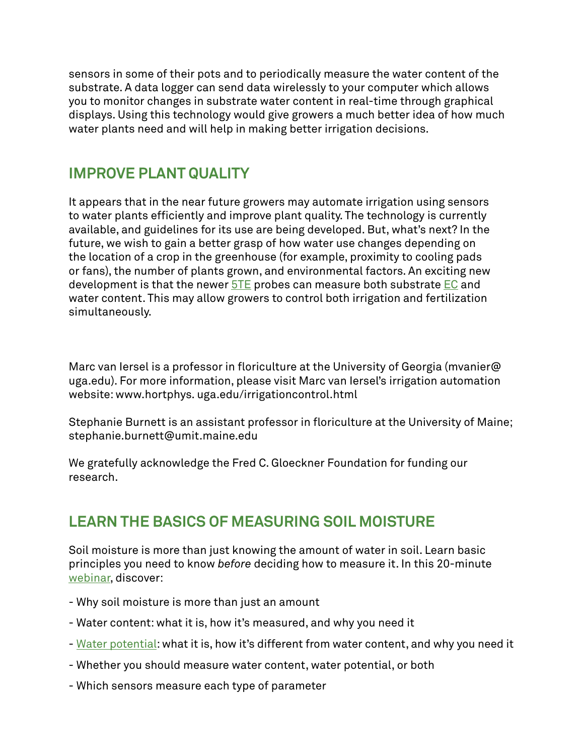sensors in some of their pots and to periodically measure the water content of the substrate. A data logger can send data wirelessly to your computer which allows you to monitor changes in substrate water content in real-time through graphical displays. Using this technology would give growers a much better idea of how much water plants need and will help in making better irrigation decisions.

### **IMPROVE PLANT QUALITY**

It appears that in the near future growers may automate irrigation using sensors to water plants efficiently and improve plant quality. The technology is currently available, and guidelines for its use are being developed. But, what's next? In the future, we wish to gain a better grasp of how water use changes depending on the location of a crop in the greenhouse (for example, proximity to cooling pads or fans), the number of plants grown, and environmental factors. An exciting new development is that the newer **[5TE](https://www.metergroup.com/meter_products/ech2o-5te-electrical-conductivity/)** probes can measure both substrate **EC** and water content. This may allow growers to control both irrigation and fertilization simultaneously.

Marc van Iersel is a professor in floriculture at the University of Georgia (mvanier@ uga.edu). For more information, please visit Marc van Iersel's irrigation automation website: www.hortphys. uga.edu/irrigationcontrol.html

Stephanie Burnett is an assistant professor in floriculture at the University of Maine; stephanie.burnett@umit.maine.edu

We gratefully acknowledge the Fred C. Gloeckner Foundation for funding our research.

# **LEARN THE BASICS OF MEASURING SOIL MOISTURE**

Soil moisture is more than just knowing the amount of water in soil. Learn basic principles you need to know *before* deciding how to measure it. In this 20-minute [webinar](https://www.metergroup.com/environment/events/soil-moisture-101-need-to-know-basics/), discover:

- Why soil moisture is more than just an amount
- Water content: what it is, how it's measured, and why you need it
- - [Water potential](https://www.metergroup.com/meter_knowledgebase/defining-water-potential/): what it is, how it's different from water content, and why you need it
- Whether you should measure water content, water potential, or both
- Which sensors measure each type of parameter